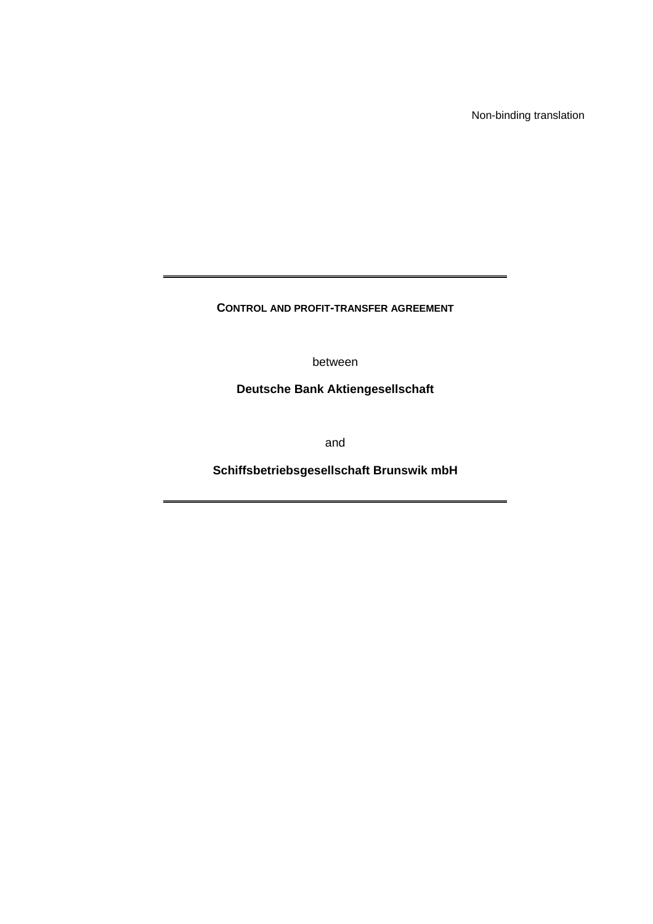Non-binding translation

**CONTROL AND PROFIT-TRANSFER AGREEMENT** 

between

**Deutsche Bank Aktiengesellschaft** 

and

**Schiffsbetriebsgesellschaft Brunswik mbH**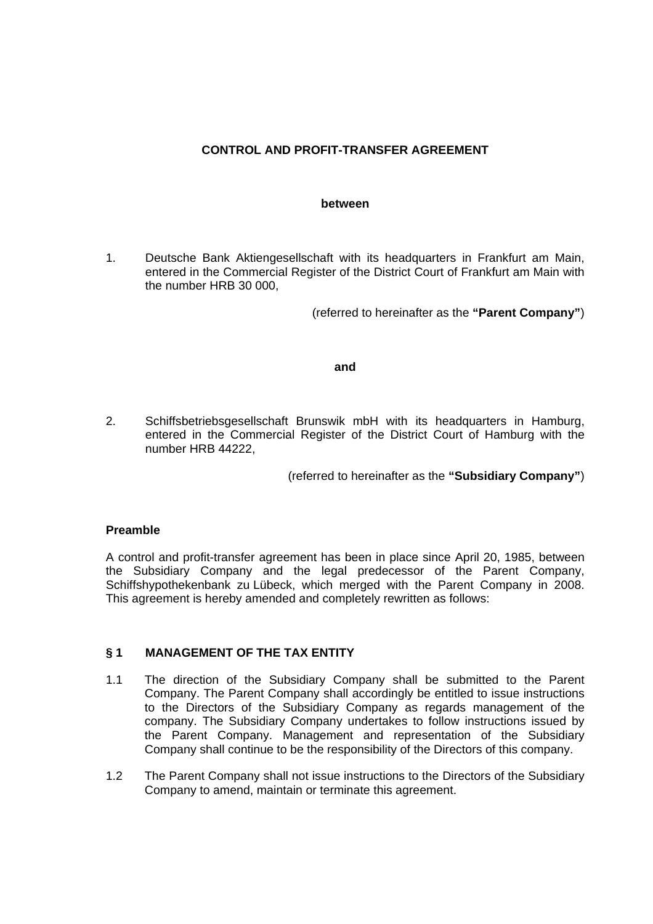# **CONTROL AND PROFIT-TRANSFER AGREEMENT**

#### **between**

1. Deutsche Bank Aktiengesellschaft with its headquarters in Frankfurt am Main, entered in the Commercial Register of the District Court of Frankfurt am Main with the number HRB 30 000,

(referred to hereinafter as the **"Parent Company"**)

#### **and**

2. Schiffsbetriebsgesellschaft Brunswik mbH with its headquarters in Hamburg, entered in the Commercial Register of the District Court of Hamburg with the number HRB 44222,

(referred to hereinafter as the **"Subsidiary Company"**)

## **Preamble**

A control and profit-transfer agreement has been in place since April 20, 1985, between the Subsidiary Company and the legal predecessor of the Parent Company, Schiffshypothekenbank zu Lübeck, which merged with the Parent Company in 2008. This agreement is hereby amended and completely rewritten as follows:

## **§ 1 MANAGEMENT OF THE TAX ENTITY**

- 1.1 The direction of the Subsidiary Company shall be submitted to the Parent Company. The Parent Company shall accordingly be entitled to issue instructions to the Directors of the Subsidiary Company as regards management of the company. The Subsidiary Company undertakes to follow instructions issued by the Parent Company. Management and representation of the Subsidiary Company shall continue to be the responsibility of the Directors of this company.
- 1.2 The Parent Company shall not issue instructions to the Directors of the Subsidiary Company to amend, maintain or terminate this agreement.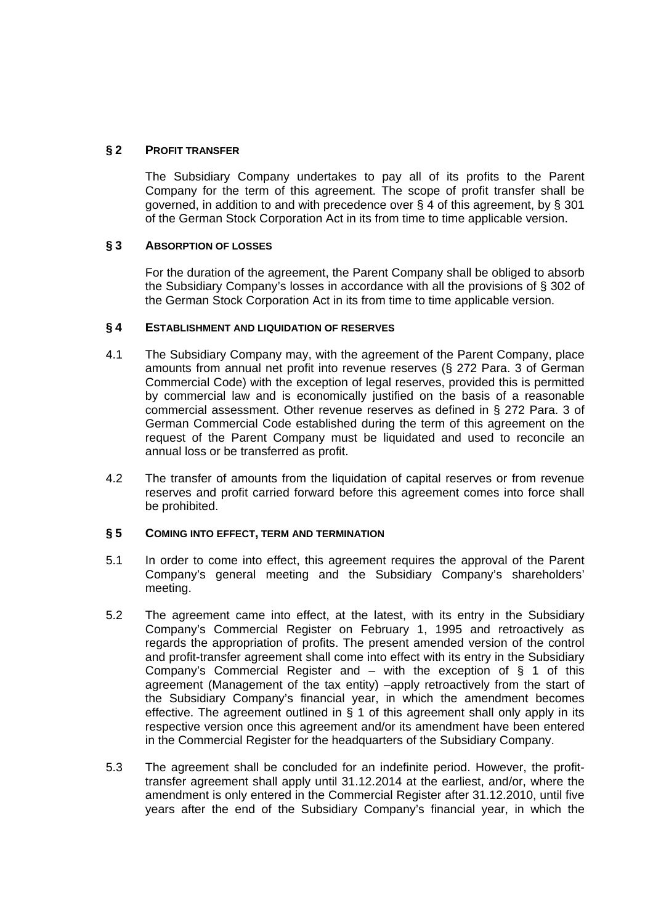## **§ 2 PROFIT TRANSFER**

 The Subsidiary Company undertakes to pay all of its profits to the Parent Company for the term of this agreement. The scope of profit transfer shall be governed, in addition to and with precedence over § 4 of this agreement, by § 301 of the German Stock Corporation Act in its from time to time applicable version.

## **§ 3 ABSORPTION OF LOSSES**

 For the duration of the agreement, the Parent Company shall be obliged to absorb the Subsidiary Company's losses in accordance with all the provisions of § 302 of the German Stock Corporation Act in its from time to time applicable version.

#### **§ 4 ESTABLISHMENT AND LIQUIDATION OF RESERVES**

- 4.1 The Subsidiary Company may, with the agreement of the Parent Company, place amounts from annual net profit into revenue reserves (§ 272 Para. 3 of German Commercial Code) with the exception of legal reserves, provided this is permitted by commercial law and is economically justified on the basis of a reasonable commercial assessment. Other revenue reserves as defined in § 272 Para. 3 of German Commercial Code established during the term of this agreement on the request of the Parent Company must be liquidated and used to reconcile an annual loss or be transferred as profit.
- 4.2 The transfer of amounts from the liquidation of capital reserves or from revenue reserves and profit carried forward before this agreement comes into force shall be prohibited.

#### **§ 5 COMING INTO EFFECT, TERM AND TERMINATION**

- 5.1 In order to come into effect, this agreement requires the approval of the Parent Company's general meeting and the Subsidiary Company's shareholders' meeting.
- 5.2 The agreement came into effect, at the latest, with its entry in the Subsidiary Company's Commercial Register on February 1, 1995 and retroactively as regards the appropriation of profits. The present amended version of the control and profit-transfer agreement shall come into effect with its entry in the Subsidiary Company's Commercial Register and  $-$  with the exception of § 1 of this agreement (Management of the tax entity) –apply retroactively from the start of the Subsidiary Company's financial year, in which the amendment becomes effective. The agreement outlined in § 1 of this agreement shall only apply in its respective version once this agreement and/or its amendment have been entered in the Commercial Register for the headquarters of the Subsidiary Company.
- 5.3 The agreement shall be concluded for an indefinite period. However, the profittransfer agreement shall apply until 31.12.2014 at the earliest, and/or, where the amendment is only entered in the Commercial Register after 31.12.2010, until five years after the end of the Subsidiary Company's financial year, in which the